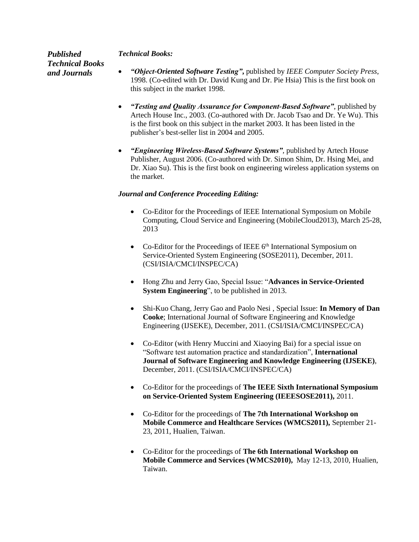## *Technical Books:*

*Published Technical Books and Journals*

- *"Object-Oriented Software Testing"***,** published by *IEEE Computer Society Press*, 1998. (Co-edited with Dr. David Kung and Dr. Pie Hsia) This is the first book on this subject in the market 1998.
- *"Testing and Quality Assurance for Component-Based Software"*, published by Artech House Inc., 2003. (Co-authored with Dr. Jacob Tsao and Dr. Ye Wu). This is the first book on this subject in the market 2003. It has been listed in the publisher's best-seller list in 2004 and 2005.
- *"Engineering Wireless-Based Software Systems",* published by Artech House Publisher, August 2006. (Co-authored with Dr. Simon Shim, Dr. Hsing Mei, and Dr. Xiao Su). This is the first book on engineering wireless application systems on the market.

## *Journal and Conference Proceeding Editing:*

- Co-Editor for the Proceedings of IEEE International Symposium on Mobile Computing, Cloud Service and Engineering (MobileCloud2013), March 25-28, 2013
- Co-Editor for the Proceedings of IEEE 6<sup>th</sup> International Symposium on Service-Oriented System Engineering (SOSE2011), December, 2011. (CSI/ISIA/CMCI/INSPEC/CA)
- Hong Zhu and Jerry Gao, Special Issue: "**Advances in Service-Oriented System Engineering**", to be published in 2013.
- Shi-Kuo Chang, Jerry Gao and Paolo Nesi , Special Issue: **In Memory of Dan Cooke**; International Journal of Software Engineering and Knowledge Engineering (IJSEKE), December, 2011. (CSI/ISIA/CMCI/INSPEC/CA)
- Co-Editor (with Henry Muccini and Xiaoying Bai) for a special issue on "Software test automation practice and standardization", **International Journal of Software Engineering and Knowledge Engineering (IJSEKE)**, December, 2011. (CSI/ISIA/CMCI/INSPEC/CA)
- Co-Editor for the proceedings of **The IEEE Sixth International Symposium on Service-Oriented System Engineering (IEEESOSE2011),** 2011.
- Co-Editor for the proceedings of **The 7th International Workshop on Mobile Commerce and Healthcare Services (WMCS2011),** September 21- 23, 2011, Hualien, Taiwan.
- Co-Editor for the proceedings of **The 6th International Workshop on Mobile Commerce and Services (WMCS2010),** May 12-13, 2010, Hualien, Taiwan.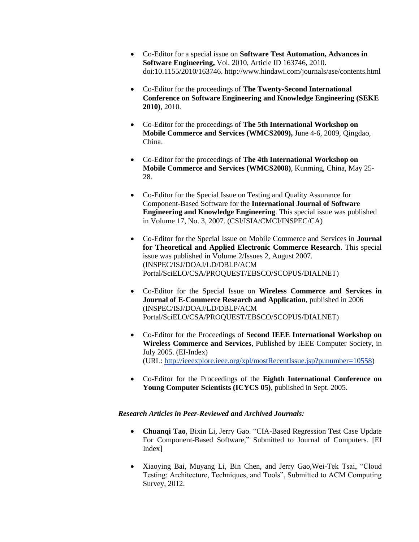- Co-Editor for a special issue on **Software Test Automation, Advances in Software Engineering,** Vol. 2010, Article ID 163746, 2010. doi:10.1155/2010/163746. http://www.hindawi.com/journals/ase/contents.html
- Co-Editor for the proceedings of **The Twenty-Second International Conference on Software Engineering and Knowledge Engineering (SEKE 2010)**, 2010.
- Co-Editor for the proceedings of **The 5th International Workshop on Mobile Commerce and Services (WMCS2009),** June 4-6, 2009, Qingdao, China.
- Co-Editor for the proceedings of **The 4th International Workshop on Mobile Commerce and Services (WMCS2008)**, Kunming, China, May 25- 28.
- Co-Editor for the Special Issue on Testing and Quality Assurance for Component-Based Software for the **International Journal of Software Engineering and Knowledge Engineering**. This special issue was published in Volume 17, No. 3, 2007. (CSI/ISIA/CMCI/INSPEC/CA)
- Co-Editor for the Special Issue on Mobile Commerce and Services in **Journal for Theoretical and Applied Electronic Commerce Research**. This special issue was published in Volume 2/Issues 2, August 2007. (INSPEC/ISJ/DOAJ/LD/DBLP/ACM Portal/SciELO/CSA/PROQUEST/EBSCO/SCOPUS/DIALNET)
- Co-Editor for the Special Issue on **Wireless Commerce and Services in Journal of E-Commerce Research and Application**, published in 2006 (INSPEC/ISJ/DOAJ/LD/DBLP/ACM Portal/SciELO/CSA/PROQUEST/EBSCO/SCOPUS/DIALNET)
- Co-Editor for the Proceedings of **Second IEEE International Workshop on Wireless Commerce and Services**, Published by IEEE Computer Society, in July 2005. (EI-Index) (URL: [http://ieeexplore.ieee.org/xpl/mostRecentIssue.jsp?punumber=10558\)](http://ieeexplore.ieee.org/xpl/mostRecentIssue.jsp?punumber=10558)
- Co-Editor for the Proceedings of the **Eighth International Conference on Young Computer Scientists (ICYCS 05)**, published in Sept. 2005.

## *Research Articles in Peer-Reviewed and Archived Journals:*

- **Chuanqi Tao**, Bixin Li, Jerry Gao. "CIA-Based Regression Test Case Update For Component-Based Software," Submitted to Journal of Computers. [EI Index]
- Xiaoying Bai, Muyang Li, Bin Chen, and Jerry Gao,Wei-Tek Tsai, "Cloud Testing: Architecture, Techniques, and Tools", Submitted to ACM Computing Survey, 2012.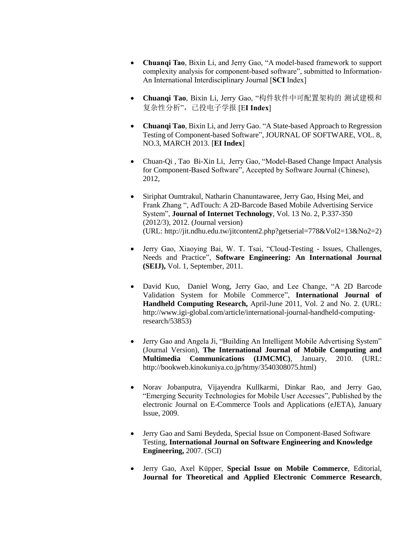- **Chuanqi Tao**, Bixin Li, and Jerry Gao, "A model-based framework to support complexity analysis for component-based software", submitted to Information-An International Interdisciplinary Journal [**SCI** Index]
- **Chuanqi Tao**, Bixin Li, Jerry Gao, "构件软件中可配置架构的 测试建模和 复杂性分析",已投电子学报 [E**I Index**]
- **Chuanqi Tao**, Bixin Li, and Jerry Gao. "A State-based Approach to Regression Testing of Component-based Software", JOURNAL OF SOFTWARE, VOL. 8, NO.3, MARCH 2013. [**EI Index**]
- Chuan-Qi , Tao Bi-Xin Li, Jerry Gao, "Model-Based Change Impact Analysis for Component-Based Software", Accepted by Software Journal (Chinese), 2012,
- Siriphat Oumtrakul, Natharin Chanuntawaree, Jerry Gao, Hsing Mei, and Frank Zhang ", AdTouch: A 2D-Barcode Based Mobile Advertising Service System", **Journal of Internet Technology**, Vol. 13 No. 2, P.337-350 (2012/3), 2012. (Journal version) (URL: http://jit.ndhu.edu.tw/jitcontent2.php?getserial=778&Vol2=13&No2=2)
- Jerry Gao, Xiaoying Bai, W. T. Tsai, "Cloud-Testing Issues, Challenges, Needs and Practice", **Software Engineering: An International Journal (SEIJ),** Vol. 1, September, 2011.
- David Kuo, Daniel Wong, Jerry Gao, and Lee Change, "A 2D Barcode Validation System for Mobile Commerce", **International Journal of Handheld Computing Research,** April-June 2011, Vol. 2 and No. 2. (URL: http://www.igi-global.com/article/international-journal-handheld-computingresearch/53853)
- Jerry Gao and Angela Ji, "Building An Intelligent Mobile Advertising System" (Journal Version), **The International Journal of Mobile Computing and Multimedia Communications (IJMCMC)**, January, 2010. (URL: http://bookweb.kinokuniya.co.jp/htmy/3540308075.html)
- Norav Jobanputra, Vijayendra Kullkarmi, Dinkar Rao, and Jerry Gao, "Emerging Security Technologies for Mobile User Accesses", Published by the electronic Journal on E-Commerce Tools and Applications (eJETA), January Issue, 2009.
- Jerry Gao and Sami Beydeda, Special Issue on Component-Based Software Testing, **International Journal on Software Engineering and Knowledge Engineering,** 2007. (SCI)
- Jerry Gao, Axel Küpper, **Special Issue on Mobile Commerce**, Editorial, **Journal for Theoretical and Applied Electronic Commerce Research**,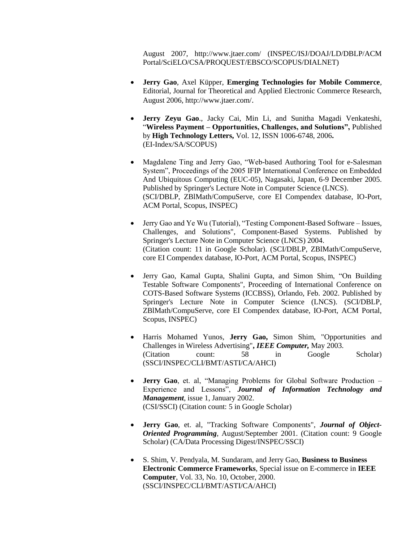August 2007, http://www.jtaer.com/ (INSPEC/ISJ/DOAJ/LD/DBLP/ACM Portal/SciELO/CSA/PROQUEST/EBSCO/SCOPUS/DIALNET)

- **Jerry Gao**, Axel Küpper, **Emerging Technologies for Mobile Commerce**, Editorial, Journal for Theoretical and Applied Electronic Commerce Research, August 2006, http://www.jtaer.com/.
- **Jerry Zeyu Gao**., Jacky Cai, Min Li, and Sunitha Magadi Venkateshi, "**Wireless Payment – Opportunities, Challenges, and Solutions",** Published by **High Technology Letters,** Vol. 12, ISSN 1006-6748, 2006**.** (EI-Index/SA/SCOPUS)
- Magdalene Ting and Jerry Gao, "Web-based Authoring Tool for e-Salesman System", Proceedings of the 2005 IFIP International Conference on Embedded And Ubiquitous Computing (EUC-05), Nagasaki, Japan, 6-9 December 2005. Published by Springer's Lecture Note in Computer Science (LNCS). (SCI/DBLP, ZBlMath/CompuServe, core EI Compendex database, IO-Port, ACM Portal, Scopus, INSPEC)
- Jerry Gao and Ye Wu (Tutorial), "Testing Component-Based Software Issues, Challenges, and Solutions", Component-Based Systems. Published by Springer's Lecture Note in Computer Science (LNCS) 2004. (Citation count: 11 in Google Scholar). (SCI/DBLP, ZBlMath/CompuServe, core EI Compendex database, IO-Port, ACM Portal, Scopus, INSPEC)
- Jerry Gao, Kamal Gupta, Shalini Gupta, and Simon Shim, "On Building Testable Software Components", Proceeding of International Conference on COTS-Based Software Systems (ICCBSS), Orlando, Feb. 2002. Published by Springer's Lecture Note in Computer Science (LNCS). (SCI/DBLP, ZBlMath/CompuServe, core EI Compendex database, IO-Port, ACM Portal, Scopus, INSPEC)
- Harris Mohamed Yunos, **Jerry Gao,** Simon Shim, "Opportunities and Challenges in Wireless Advertising"**,** *IEEE Computer,* May 2003. (Citation count: 58 in Google Scholar) (SSCI/INSPEC/CLI/BMT/ASTI/CA/AHCI)
- **Jerry Gao**, et. al, "Managing Problems for Global Software Production Experience and Lessons", *Journal of Information Technology and Management*, issue 1, January 2002. (CSI/SSCI) (Citation count: 5 in Google Scholar)
- **Jerry Gao**, et. al, "Tracking Software Components", *Journal of Object-Oriented Programming*, August/September 2001. (Citation count: 9 Google Scholar) (CA/Data Processing Digest/INSPEC/SSCI)
- S. Shim, V. Pendyala, M. Sundaram, and Jerry Gao, **Business to Business Electronic Commerce Frameworks**, Special issue on E-commerce in **IEEE Computer**, Vol. 33, No. 10, October, 2000. (SSCI/INSPEC/CLI/BMT/ASTI/CA/AHCI)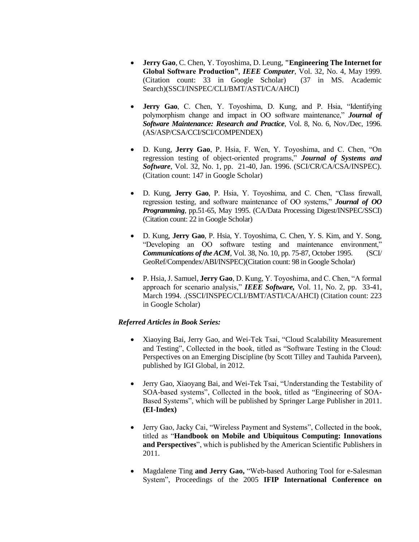- **Jerry Gao**, C. Chen, Y. Toyoshima, D. Leung, **"Engineering The Internet for Global Software Production"**, *IEEE Computer*, Vol. 32, No. 4, May 1999.  $(Citation count: 33 in Google Schoolar)$ Search)(SSCI/INSPEC/CLI/BMT/ASTI/CA/AHCI)
- **Jerry Gao**, C. Chen, Y. Toyoshima, D. Kung, and P. Hsia, "Identifying polymorphism change and impact in OO software maintenance," *Journal of Software Maintenance: Research and Practice*, Vol. 8, No. 6, Nov./Dec, 1996. (AS/ASP/CSA/CCI/SCI/COMPENDEX)
- D. Kung, **Jerry Gao**, P. Hsia, F. Wen, Y. Toyoshima, and C. Chen, "On regression testing of object-oriented programs," *Journal of Systems and Software*, Vol. 32, No. 1, pp. 21-40, Jan. 1996. (SCI/CR/CA/CSA/INSPEC). (Citation count: 147 in Google Scholar)
- D. Kung, **Jerry Gao**, P. Hsia, Y. Toyoshima, and C. Chen, "Class firewall, regression testing, and software maintenance of OO systems," *Journal of OO Programming*, pp.51-65, May 1995. (CA/Data Processing Digest/INSPEC/SSCI) (Citation count: 22 in Google Scholar)
- D. Kung, **Jerry Gao**, P. Hsia, Y. Toyoshima, C. Chen, Y. S. Kim, and Y. Song, "Developing an OO software testing and maintenance environment," *Communications of the ACM*, Vol. 38, No. 10, pp. 75-87, October 1995. (SCI/ GeoRef/Compendex/ABI/INSPEC)(Citation count: 98 in Google Scholar)
- P. Hsia, J. Samuel, **Jerry Gao**, D. Kung, Y. Toyoshima, and C. Chen, "A formal approach for scenario analysis," *IEEE Software,* Vol. 11, No. 2, pp. 33-41, March 1994. .(SSCI/INSPEC/CLI/BMT/ASTI/CA/AHCI) (Citation count: 223 in Google Scholar)

## *Referred Articles in Book Series:*

- Xiaoying Bai, Jerry Gao, and Wei-Tek Tsai, "Cloud Scalability Measurement and Testing", Collected in the book, titled as "Software Testing in the Cloud: Perspectives on an Emerging Discipline (by Scott Tilley and Tauhida Parveen), published by IGI Global, in 2012.
- Jerry Gao, Xiaoyang Bai, and Wei-Tek Tsai, "Understanding the Testability of SOA-based systems", Collected in the book, titled as "Engineering of SOA-Based Systems", which will be published by Springer Large Publisher in 2011. **(EI-Index)**
- Jerry Gao, Jacky Cai, "Wireless Payment and Systems", Collected in the book, titled as "**Handbook on Mobile and Ubiquitous Computing: Innovations and Perspectives**", which is published by the American Scientific Publishers in 2011.
- Magdalene Ting **and Jerry Gao,** "Web-based Authoring Tool for e-Salesman System", Proceedings of the 2005 **IFIP International Conference on**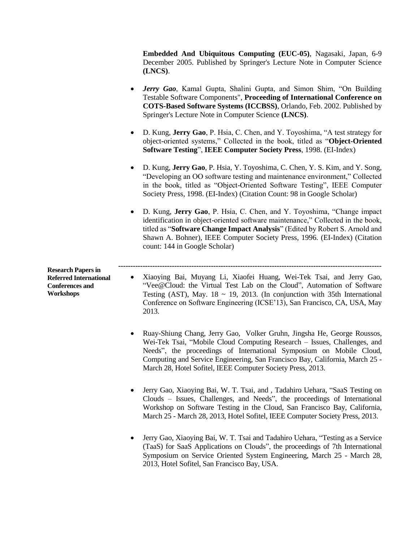**Embedded And Ubiquitous Computing (EUC-05)**, Nagasaki, Japan, 6-9 December 2005. Published by Springer's Lecture Note in Computer Science **(LNCS)**.

- *Jerry Gao*, Kamal Gupta, Shalini Gupta, and Simon Shim, "On Building Testable Software Components", **Proceeding of International Conference on COTS-Based Software Systems (ICCBSS)**, Orlando, Feb. 2002. Published by Springer's Lecture Note in Computer Science **(LNCS)**.
- D. Kung, **Jerry Gao**, P. Hsia, C. Chen, and Y. Toyoshima, "A test strategy for object-oriented systems," Collected in the book, titled as "**Object-Oriented Software Testing**", **IEEE Computer Society Press**, 1998. (EI-Index)
- D. Kung, **Jerry Gao**, P. Hsia, Y. Toyoshima, C. Chen, Y. S. Kim, and Y. Song, "Developing an OO software testing and maintenance environment," Collected in the book, titled as "Object-Oriented Software Testing", IEEE Computer Society Press, 1998. (EI-Index) (Citation Count: 98 in Google Scholar)
- D. Kung, **Jerry Gao**, P. Hsia, C. Chen, and Y. Toyoshima, "Change impact identification in object-oriented software maintenance," Collected in the book, titled as "**Software Change Impact Analysis**" (Edited by Robert S. Arnold and Shawn A. Bohner), IEEE Computer Society Press, 1996. (EI-Index) (Citation count: 144 in Google Scholar)

**------------------------------------------------------------------------------------------------------------**

**Research Papers in Referred International Conferences and Workshops**

- Xiaoying Bai, Muyang Li, Xiaofei Huang, Wei-Tek Tsai, and Jerry Gao, "Vee@Cloud: the Virtual Test Lab on the Cloud", Automation of Software Testing (AST), May.  $18 \sim 19$ , 2013. (In conjunction with 35th International Conference on Software Engineering (ICSE'13), San Francisco, CA, USA, May 2013.
- Ruay-Shiung Chang, Jerry Gao, Volker Gruhn, Jingsha He, George Roussos, Wei-Tek Tsai, "Mobile Cloud Computing Research – Issues, Challenges, and Needs", the proceedings of International Symposium on Mobile Cloud, Computing and Service Engineering, San Francisco Bay, California, March 25 - March 28, Hotel Sofitel, IEEE Computer Society Press, 2013.
- Jerry Gao, Xiaoying Bai, W. T. Tsai, and , Tadahiro Uehara, "SaaS Testing on Clouds – Issues, Challenges, and Needs", the proceedings of International Workshop on Software Testing in the Cloud, San Francisco Bay, California, March 25 - March 28, 2013, Hotel Sofitel, IEEE Computer Society Press, 2013.
- Jerry Gao, Xiaoying Bai, W. T. Tsai and Tadahiro Uehara, "Testing as a Service (TaaS) for SaaS Applications on Clouds", the proceedings of 7th International Symposium on Service Oriented System Engineering, March 25 - March 28, 2013, Hotel Sofitel, San Francisco Bay, USA.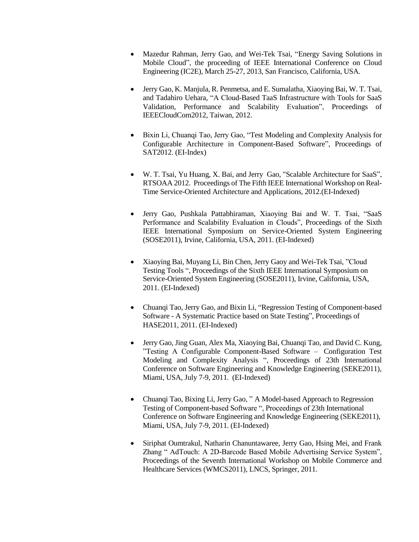- Mazedur Rahman, Jerry Gao, and Wei-Tek Tsai, "Energy Saving Solutions in Mobile Cloud", the proceeding of IEEE International Conference on Cloud Engineering (IC2E), March 25-27, 2013, San Francisco, California, USA.
- Jerry Gao, K. Manjula, R. Penmetsa, and E. Sumalatha, Xiaoying Bai, W. T. Tsai, and Tadahiro Uehara, "A Cloud-Based TaaS Infrastructure with Tools for SaaS Validation, Performance and Scalability Evaluation", Proceedings of IEEECloudCom2012, Taiwan, 2012.
- Bixin Li, Chuanqi Tao, Jerry Gao, "Test Modeling and Complexity Analysis for Configurable Architecture in Component-Based Software", Proceedings of SAT2012. (EI-Index)
- W. T. Tsai, Yu Huang, X. Bai, and Jerry Gao, "Scalable Architecture for SaaS", RTSOAA 2012. Proceedings of The Fifth IEEE International Workshop on Real-Time Service-Oriented Architecture and Applications, 2012.(EI-Indexed)
- Jerry Gao, Pushkala Pattabhiraman, Xiaoying Bai and W. T. Tsai, "SaaS Performance and Scalability Evaluation in Clouds", Proceedings of the Sixth IEEE International Symposium on Service-Oriented System Engineering (SOSE2011), Irvine, California, USA, 2011. (EI-Indexed)
- Xiaoying Bai, Muyang Li, Bin Chen, Jerry Gaoy and Wei-Tek Tsai, "Cloud" Testing Tools ", Proceedings of the Sixth IEEE International Symposium on Service-Oriented System Engineering (SOSE2011), Irvine, California, USA, 2011. (EI-Indexed)
- Chuanqi Tao, Jerry Gao, and Bixin Li, "Regression Testing of Component-based Software - A Systematic Practice based on State Testing", Proceedings of HASE2011, 2011. (EI-Indexed)
- Jerry Gao, Jing Guan, Alex Ma, Xiaoying Bai, Chuanqi Tao, and David C. Kung, "Testing A Configurable Component-Based Software – Configuration Test Modeling and Complexity Analysis ", Proceedings of 23th International Conference on Software Engineering and Knowledge Engineering (SEKE2011), Miami, USA, July 7-9, 2011. (EI-Indexed)
- Chuanqi Tao, Bixing Li, Jerry Gao, " A Model-based Approach to Regression Testing of Component-based Software ", Proceedings of 23th International Conference on Software Engineering and Knowledge Engineering (SEKE2011), Miami, USA, July 7-9, 2011. (EI-Indexed)
- Siriphat Oumtrakul, Natharin Chanuntawaree, Jerry Gao, Hsing Mei, and Frank Zhang " AdTouch: A 2D-Barcode Based Mobile Advertising Service System", Proceedings of the Seventh International Workshop on Mobile Commerce and Healthcare Services (WMCS2011), LNCS, Springer, 2011.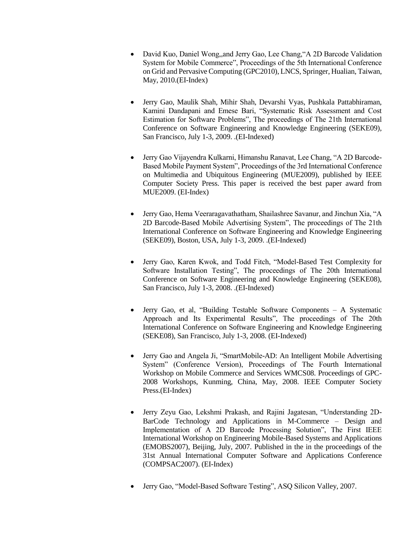- David Kuo, Daniel Wong, and Jerry Gao, Lee Chang, "A 2D Barcode Validation System for Mobile Commerce", Proceedings of the 5th International Conference on Grid and Pervasive Computing (GPC2010), LNCS, Springer, Hualian, Taiwan, May, 2010.(EI-Index)
- Jerry Gao, Maulik Shah, Mihir Shah, Devarshi Vyas, Pushkala Pattabhiraman, Kamini Dandapani and Emese Bari, "Systematic Risk Assessment and Cost Estimation for Software Problems", The proceedings of The 21th International Conference on Software Engineering and Knowledge Engineering (SEKE09), San Francisco, July 1-3, 2009. .(EI-Indexed)
- Jerry Gao Vijayendra Kulkarni, Himanshu Ranavat, Lee Chang, "A 2D Barcode-Based Mobile Payment System", Proceedings of the 3rd International Conference on Multimedia and Ubiquitous Engineering (MUE2009), published by IEEE Computer Society Press. This paper is received the best paper award from MUE2009. (EI-Index)
- Jerry Gao, Hema Veeraragavathatham, Shailashree Savanur, and Jinchun Xia, "A 2D Barcode-Based Mobile Advertising System", The proceedings of The 21th International Conference on Software Engineering and Knowledge Engineering (SEKE09), Boston, USA, July 1-3, 2009. .(EI-Indexed)
- Jerry Gao, Karen Kwok, and Todd Fitch, "Model-Based Test Complexity for Software Installation Testing", The proceedings of The 20th International Conference on Software Engineering and Knowledge Engineering (SEKE08), San Francisco, July 1-3, 2008. .(EI-Indexed)
- Jerry Gao, et al, "Building Testable Software Components A Systematic Approach and Its Experimental Results", The proceedings of The 20th International Conference on Software Engineering and Knowledge Engineering (SEKE08), San Francisco, July 1-3, 2008. (EI-Indexed)
- Jerry Gao and Angela Ji, "SmartMobile-AD: An Intelligent Mobile Advertising System" (Conference Version), Proceedings of The Fourth International Workshop on Mobile Commerce and Services WMCS08. Proceedings of GPC-2008 Workshops, Kunming, China, May, 2008. IEEE Computer Society Press.(EI-Index)
- Jerry Zeyu Gao, Lekshmi Prakash, and Rajini Jagatesan, "Understanding 2D-BarCode Technology and Applications in M-Commerce – Design and Implementation of A 2D Barcode Processing Solution", The First IEEE International Workshop on Engineering Mobile-Based Systems and Applications (EMOBS2007), Beijing, July, 2007. Published in the in the proceedings of the 31st Annual International Computer Software and Applications Conference (COMPSAC2007). (EI-Index)
- Jerry Gao, "Model-Based Software Testing", ASQ Silicon Valley, 2007.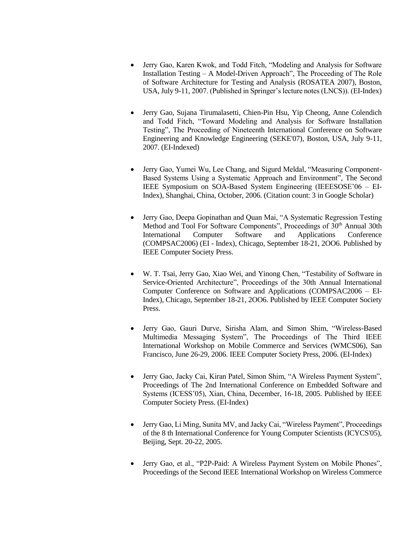- Jerry Gao, Karen Kwok, and Todd Fitch, "Modeling and Analysis for Software Installation Testing – A Model-Driven Approach", The Proceeding of The Role of Software Architecture for Testing and Analysis (ROSATEA 2007), Boston, USA, July 9-11, 2007. (Published in Springer's lecture notes (LNCS)). (EI-Index)
- Jerry Gao, Sujana Tirumalasetti, Chien-Pin Hsu, Yip Cheong, Anne Colendich and Todd Fitch, "Toward Modeling and Analysis for Software Installation Testing", The Proceeding of Nineteenth International Conference on Software Engineering and Knowledge Engineering (SEKE'07), Boston, USA, July 9-11, 2007. (EI-Indexed)
- Jerry Gao, Yumei Wu, Lee Chang, and Sigurd Meldal, "Measuring Component-Based Systems Using a Systematic Approach and Environment", The Second IEEE Symposium on SOA-Based System Engineering (IEEESOSE'06 – EI-Index), Shanghai, China, October, 2006. (Citation count: 3 in Google Scholar)
- Jerry Gao, Deepa Gopinathan and Quan Mai, "A Systematic Regression Testing Method and Tool For Software Components", Proceedings of 30<sup>th</sup> Annual 30th International Computer Software and Applications Conference (COMPSAC2006) (EI - Index), Chicago, September 18-21, 2OO6. Published by IEEE Computer Society Press.
- W. T. Tsai, Jerry Gao, Xiao Wei, and Yinong Chen, "Testability of Software in Service-Oriented Architecture", Proceedings of the 30th Annual International Computer Conference on Software and Applications (COMPSAC2006 – EI-Index), Chicago, September 18-21, 2OO6. Published by IEEE Computer Society Press.
- Jerry Gao, Gauri Durve, Sirisha Alam, and Simon Shim, "Wireless-Based Multimedia Messaging System", The Proceedings of The Third IEEE International Workshop on Mobile Commerce and Services (WMCS06), San Francisco, June 26-29, 2006. IEEE Computer Society Press, 2006. (EI-Index)
- Jerry Gao, Jacky Cai, Kiran Patel, Simon Shim, "A Wireless Payment System", Proceedings of The 2nd International Conference on Embedded Software and Systems (ICESS'05), Xian, China, December, 16-18, 2005. Published by IEEE Computer Society Press. (EI-Index)
- Jerry Gao, Li Ming, Sunita MV, and Jacky Cai, "Wireless Payment", Proceedings of the 8 th International Conference for Young Computer Scientists (ICYCS'05), Beijing, Sept. 20-22, 2005.
- Jerry Gao, et al., "P2P-Paid: A Wireless Payment System on Mobile Phones", Proceedings of the Second IEEE International Workshop on Wireless Commerce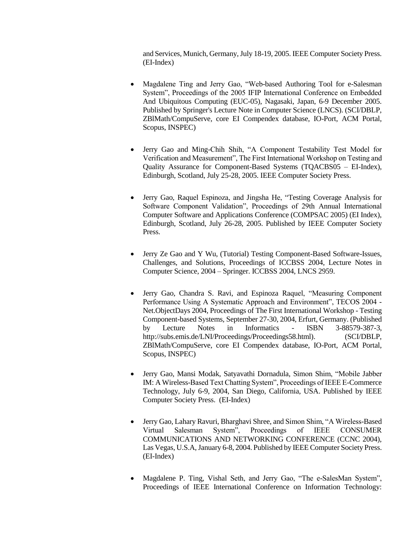and Services, Munich, Germany, July 18-19, 2005. IEEE Computer Society Press. (EI-Index)

- Magdalene Ting and Jerry Gao, "Web-based Authoring Tool for e-Salesman System", Proceedings of the 2005 IFIP International Conference on Embedded And Ubiquitous Computing (EUC-05), Nagasaki, Japan, 6-9 December 2005. Published by Springer's Lecture Note in Computer Science (LNCS). (SCI/DBLP, ZBlMath/CompuServe, core EI Compendex database, IO-Port, ACM Portal, Scopus, INSPEC)
- Jerry Gao and Ming-Chih Shih, "A Component Testability Test Model for Verification and Measurement", The First International Workshop on Testing and Quality Assurance for Component-Based Systems (TQACBS05 – EI-Index), Edinburgh, Scotland, July 25-28, 2005. IEEE Computer Society Press.
- Jerry Gao, Raquel Espinoza, and Jingsha He, "Testing Coverage Analysis for Software Component Validation", Proceedings of 29th Annual International Computer Software and Applications Conference (COMPSAC 2005) (EI Index), Edinburgh, Scotland, July 26-28, 2005. Published by IEEE Computer Society Press.
- Jerry Ze Gao and Y Wu, (Tutorial) Testing Component-Based Software-Issues, Challenges, and Solutions, Proceedings of ICCBSS 2004, Lecture Notes in Computer Science, 2004 – Springer. ICCBSS 2004, LNCS 2959.
- Jerry Gao, Chandra S. Ravi, and Espinoza Raquel, "Measuring Component Performance Using A Systematic Approach and Environment", TECOS 2004 - Net.ObjectDays 2004, Proceedings of The First International Workshop - Testing Component-based Systems, September 27-30, 2004, Erfurt, Germany. (Published by Lecture Notes in Informatics - ISBN 3-88579-387-3, http://subs.emis.de/LNI/Proceedings/Proceedings58.html). (SCI/DBLP, ZBlMath/CompuServe, core EI Compendex database, IO-Port, ACM Portal, Scopus, INSPEC)
- Jerry Gao, Mansi Modak, Satyavathi Dornadula, Simon Shim, "Mobile Jabber IM: A Wireless-Based Text Chatting System", Proceedings of IEEE E-Commerce Technology, July 6-9, 2004, San Diego, California, USA. Published by IEEE Computer Society Press. (EI-Index)
- Jerry Gao, Lahary Ravuri, Bharghavi Shree, and Simon Shim, "A Wireless-Based Virtual Salesman System", Proceedings of IEEE CONSUMER COMMUNICATIONS AND NETWORKING CONFERENCE (CCNC 2004), Las Vegas, U.S.A, January 6-8, 2004. Published by IEEE Computer Society Press. (EI-Index)
- Magdalene P. Ting, Vishal Seth, and Jerry Gao, "The e-SalesMan System", Proceedings of IEEE International Conference on Information Technology: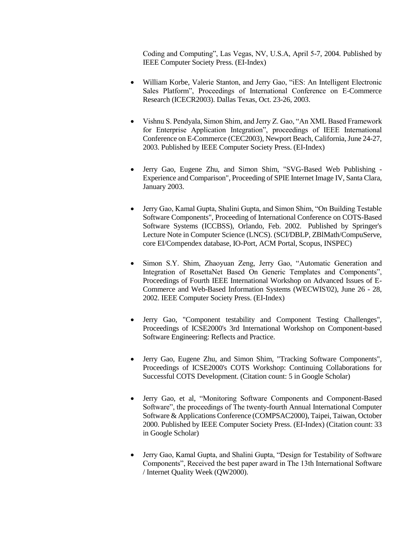Coding and Computing", Las Vegas, NV, U.S.A, April 5-7, 2004. Published by IEEE Computer Society Press. (EI-Index)

- William Korbe, Valerie Stanton, and Jerry Gao, "iES: An Intelligent Electronic Sales Platform", Proceedings of International Conference on E-Commerce Research (ICECR2003). Dallas Texas, Oct. 23-26, 2003.
- Vishnu S. Pendyala, Simon Shim, and Jerry Z. Gao, "An XML Based Framework for Enterprise Application Integration", proceedings of IEEE International Conference on E-Commerce (CEC2003), Newport Beach, California, June 24-27, 2003. Published by IEEE Computer Society Press. (EI-Index)
- Jerry Gao, Eugene Zhu, and Simon Shim, "SVG-Based Web Publishing Experience and Comparison", Proceeding of SPIE Internet Image IV, Santa Clara, January 2003.
- Jerry Gao, Kamal Gupta, Shalini Gupta, and Simon Shim, "On Building Testable Software Components", Proceeding of International Conference on COTS-Based Software Systems (ICCBSS), Orlando, Feb. 2002. Published by Springer's Lecture Note in Computer Science (LNCS). (SCI/DBLP, ZBlMath/CompuServe, core EI/Compendex database, IO-Port, ACM Portal, Scopus, INSPEC)
- Simon S.Y. Shim, Zhaoyuan Zeng, Jerry Gao, "Automatic Generation and Integration of RosettaNet Based On Generic Templates and Components", Proceedings of Fourth IEEE International Workshop on Advanced Issues of E-Commerce and Web-Based Information Systems (WECWIS'02), June 26 - 28, 2002. IEEE Computer Society Press. (EI-Index)
- Jerry Gao, "Component testability and Component Testing Challenges", Proceedings of ICSE2000's 3rd International Workshop on Component-based Software Engineering: Reflects and Practice.
- Jerry Gao, Eugene Zhu, and Simon Shim, "Tracking Software Components", Proceedings of ICSE2000's COTS Workshop: Continuing Collaborations for Successful COTS Development. (Citation count: 5 in Google Scholar)
- Jerry Gao, et al, "Monitoring Software Components and Component-Based Software", the proceedings of The twenty-fourth Annual International Computer Software & Applications Conference (COMPSAC2000), Taipei, Taiwan, October 2000. Published by IEEE Computer Society Press. (EI-Index) (Citation count: 33 in Google Scholar)
- Jerry Gao, Kamal Gupta, and Shalini Gupta, "Design for Testability of Software Components", Received the best paper award in The 13th International Software / Internet Quality Week (QW2000).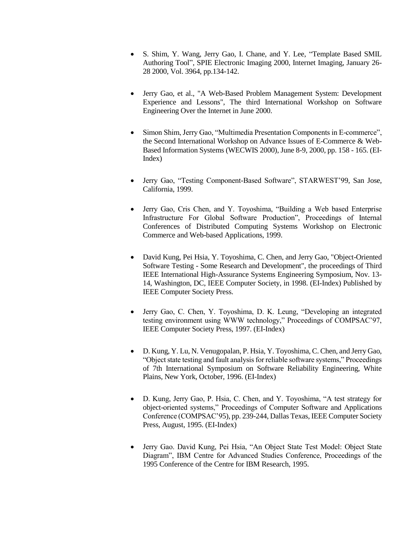- S. Shim, Y. Wang, Jerry Gao, I. Chane, and Y. Lee, "Template Based SMIL Authoring Tool", SPIE Electronic Imaging 2000, Internet Imaging, January 26- 28 2000, Vol. 3964, pp.134-142.
- Jerry Gao, et al., "A Web-Based Problem Management System: Development Experience and Lessons", The third International Workshop on Software Engineering Over the Internet in June 2000.
- Simon Shim, Jerry Gao, "Multimedia Presentation Components in E-commerce", the Second International Workshop on Advance Issues of E-Commerce & Web-Based Information Systems (WECWIS 2000), June 8-9, 2000, pp. 158 - 165. (EI-Index)
- Jerry Gao, "Testing Component-Based Software", STARWEST'99, San Jose, California, 1999.
- Jerry Gao, Cris Chen, and Y. Toyoshima, "Building a Web based Enterprise Infrastructure For Global Software Production", Proceedings of Internal Conferences of Distributed Computing Systems Workshop on Electronic Commerce and Web-based Applications, 1999.
- David Kung, Pei Hsia, Y. Toyoshima, C. Chen, and Jerry Gao, "Object-Oriented Software Testing - Some Research and Development", the proceedings of Third IEEE International High-Assurance Systems Engineering Symposium, Nov. 13- 14, Washington, DC, IEEE Computer Society, in 1998. (EI-Index) Published by IEEE Computer Society Press.
- Jerry Gao, C. Chen, Y. Toyoshima, D. K. Leung, "Developing an integrated testing environment using WWW technology," Proceedings of COMPSAC'97, IEEE Computer Society Press, 1997. (EI-Index)
- D. Kung, Y. Lu, N. Venugopalan, P. Hsia, Y. Toyoshima, C. Chen, and Jerry Gao, "Object state testing and fault analysis for reliable software systems," Proceedings of 7th International Symposium on Software Reliability Engineering, White Plains, New York, October, 1996. (EI-Index)
- D. Kung, Jerry Gao, P. Hsia, C. Chen, and Y. Toyoshima, "A test strategy for object-oriented systems," Proceedings of Computer Software and Applications Conference (COMPSAC'95), pp. 239-244, Dallas Texas, IEEE Computer Society Press, August, 1995. (EI-Index)
- Jerry Gao. David Kung, Pei Hsia, "An Object State Test Model: Object State Diagram", IBM Centre for Advanced Studies Conference, Proceedings of the 1995 Conference of the Centre for IBM Research, 1995.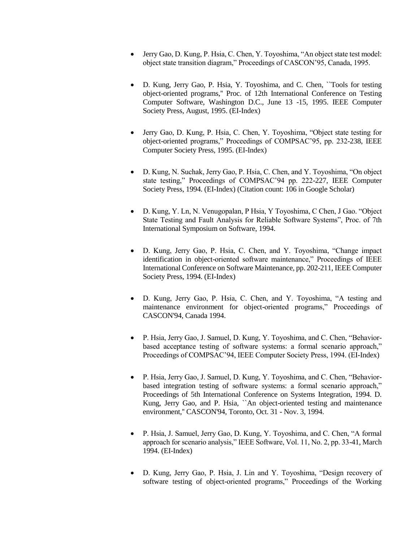- Jerry Gao, D. Kung, P. Hsia, C. Chen, Y. Toyoshima, "An object state test model: object state transition diagram," Proceedings of CASCON'95, Canada, 1995.
- D. Kung, Jerry Gao, P. Hsia, Y. Toyoshima, and C. Chen, ``Tools for testing object-oriented programs,'' Proc. of 12th International Conference on Testing Computer Software, Washington D.C., June 13 -15, 1995. IEEE Computer Society Press, August, 1995. (EI-Index)
- Jerry Gao, D. Kung, P. Hsia, C. Chen, Y. Toyoshima, "Object state testing for object-oriented programs," Proceedings of COMPSAC'95, pp. 232-238, IEEE Computer Society Press, 1995. (EI-Index)
- D. Kung, N. Suchak, Jerry Gao, P. Hsia, C. Chen, and Y. Toyoshima, "On object state testing," Proceedings of COMPSAC'94 pp. 222-227, IEEE Computer Society Press, 1994. (EI-Index) (Citation count: 106 in Google Scholar)
- D. Kung, Y. Ln, N. Venugopalan, P Hsia, Y Toyoshima, C Chen, J Gao. "Object State Testing and Fault Analysis for Reliable Software Systems", Proc. of 7th International Symposium on Software, 1994.
- D. Kung, Jerry Gao, P. Hsia, C. Chen, and Y. Toyoshima, "Change impact identification in object-oriented software maintenance," Proceedings of IEEE International Conference on Software Maintenance, pp. 202-211, IEEE Computer Society Press, 1994. (EI-Index)
- D. Kung, Jerry Gao, P. Hsia, C. Chen, and Y. Toyoshima, "A testing and maintenance environment for object-oriented programs," Proceedings of CASCON'94, Canada 1994.
- P. Hsia, Jerry Gao, J. Samuel, D. Kung, Y. Toyoshima, and C. Chen, "Behaviorbased acceptance testing of software systems: a formal scenario approach," Proceedings of COMPSAC'94, IEEE Computer Society Press, 1994. (EI-Index)
- P. Hsia, Jerry Gao, J. Samuel, D. Kung, Y. Toyoshima, and C. Chen, "Behaviorbased integration testing of software systems: a formal scenario approach," Proceedings of 5th International Conference on Systems Integration, 1994. D. Kung, Jerry Gao, and P. Hsia, ``An object-oriented testing and maintenance environment,'' CASCON'94, Toronto, Oct. 31 - Nov. 3, 1994.
- P. Hsia, J. Samuel, Jerry Gao, D. Kung, Y. Toyoshima, and C. Chen, "A formal approach for scenario analysis," IEEE Software, Vol. 11, No. 2, pp. 33-41, March 1994. (EI-Index)
- D. Kung, Jerry Gao, P. Hsia, J. Lin and Y. Toyoshima, "Design recovery of software testing of object-oriented programs," Proceedings of the Working